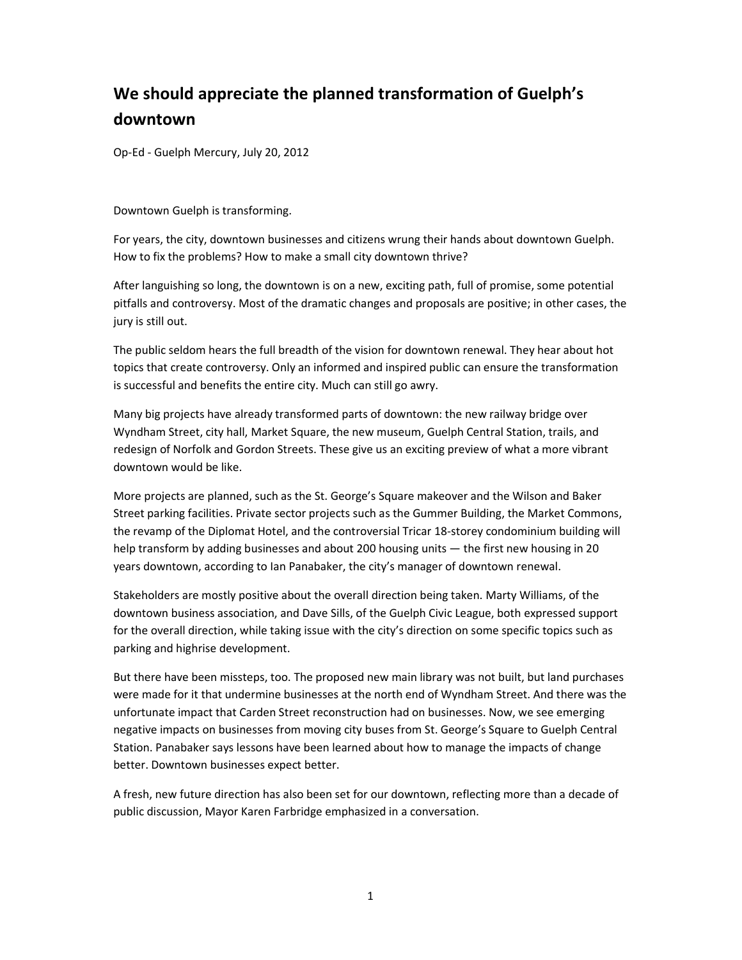## We should appreciate the planned transformation of Guelph's downtown

Op-Ed - Guelph Mercury, July 20, 2012

Downtown Guelph is transforming.

For years, the city, downtown businesses and citizens wrung their hands about downtown Guelph. How to fix the problems? How to make a small city downtown thrive?

After languishing so long, the downtown is on a new, exciting path, full of promise, some potential pitfalls and controversy. Most of the dramatic changes and proposals are positive; in other cases, the jury is still out.

The public seldom hears the full breadth of the vision for downtown renewal. They hear about hot topics that create controversy. Only an informed and inspired public can ensure the transformation is successful and benefits the entire city. Much can still go awry.

Many big projects have already transformed parts of downtown: the new railway bridge over Wyndham Street, city hall, Market Square, the new museum, Guelph Central Station, trails, and redesign of Norfolk and Gordon Streets. These give us an exciting preview of what a more vibrant downtown would be like.

More projects are planned, such as the St. George's Square makeover and the Wilson and Baker Street parking facilities. Private sector projects such as the Gummer Building, the Market Commons, the revamp of the Diplomat Hotel, and the controversial Tricar 18-storey condominium building will help transform by adding businesses and about 200 housing units — the first new housing in 20 years downtown, according to Ian Panabaker, the city's manager of downtown renewal.

Stakeholders are mostly positive about the overall direction being taken. Marty Williams, of the downtown business association, and Dave Sills, of the Guelph Civic League, both expressed support for the overall direction, while taking issue with the city's direction on some specific topics such as parking and highrise development.

But there have been missteps, too. The proposed new main library was not built, but land purchases were made for it that undermine businesses at the north end of Wyndham Street. And there was the unfortunate impact that Carden Street reconstruction had on businesses. Now, we see emerging negative impacts on businesses from moving city buses from St. George's Square to Guelph Central Station. Panabaker says lessons have been learned about how to manage the impacts of change better. Downtown businesses expect better.

A fresh, new future direction has also been set for our downtown, reflecting more than a decade of public discussion, Mayor Karen Farbridge emphasized in a conversation.